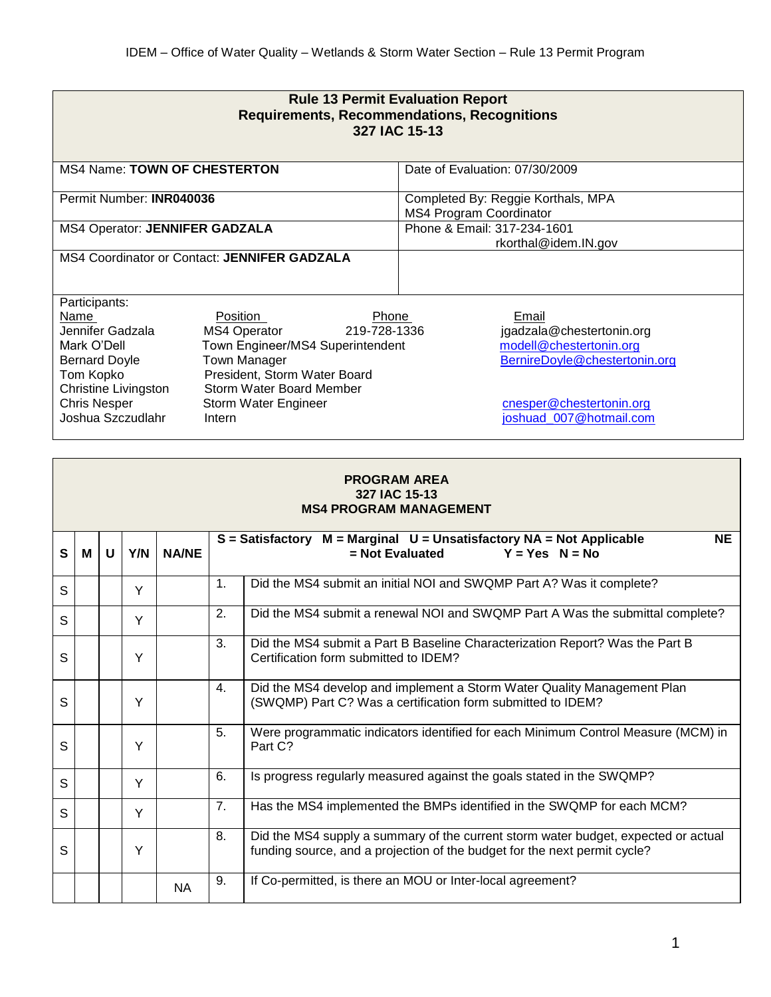| <b>Rule 13 Permit Evaluation Report</b><br><b>Requirements, Recommendations, Recognitions</b><br>327 IAC 15-13                                                           |                                                                                                                                                                                                                   |                                                                                                                                                       |  |  |  |  |  |  |  |  |
|--------------------------------------------------------------------------------------------------------------------------------------------------------------------------|-------------------------------------------------------------------------------------------------------------------------------------------------------------------------------------------------------------------|-------------------------------------------------------------------------------------------------------------------------------------------------------|--|--|--|--|--|--|--|--|
| <b>MS4 Name: TOWN OF CHESTERTON</b>                                                                                                                                      |                                                                                                                                                                                                                   | Date of Evaluation: 07/30/2009                                                                                                                        |  |  |  |  |  |  |  |  |
| Permit Number: INR040036                                                                                                                                                 |                                                                                                                                                                                                                   | Completed By: Reggie Korthals, MPA<br><b>MS4 Program Coordinator</b>                                                                                  |  |  |  |  |  |  |  |  |
| MS4 Operator: JENNIFER GADZALA                                                                                                                                           |                                                                                                                                                                                                                   | Phone & Email: 317-234-1601<br>rkorthal@idem.IN.gov                                                                                                   |  |  |  |  |  |  |  |  |
|                                                                                                                                                                          | MS4 Coordinator or Contact: JENNIFER GADZALA                                                                                                                                                                      |                                                                                                                                                       |  |  |  |  |  |  |  |  |
| Participants:<br>Name<br>Jennifer Gadzala<br>Mark O'Dell<br><b>Bernard Doyle</b><br>Tom Kopko<br><b>Christine Livingston</b><br><b>Chris Nesper</b><br>Joshua Szczudlahr | Position<br>Phone<br>MS4 Operator<br>219-728-1336<br>Town Engineer/MS4 Superintendent<br><b>Town Manager</b><br>President, Storm Water Board<br><b>Storm Water Board Member</b><br>Storm Water Engineer<br>Intern | Email<br>jgadzala@chestertonin.org<br>modell@chestertonin.org<br>BernireDoyle@chestertonin.org<br>cnesper@chestertonin.org<br>joshuad_007@hotmail.com |  |  |  |  |  |  |  |  |

|              | <b>PROGRAM AREA</b><br>327 IAC 15-13<br><b>MS4 PROGRAM MANAGEMENT</b> |   |     |              |                |                                                                                                                                                                 |  |  |  |  |
|--------------|-----------------------------------------------------------------------|---|-----|--------------|----------------|-----------------------------------------------------------------------------------------------------------------------------------------------------------------|--|--|--|--|
| $\mathbf{s}$ | M                                                                     | U | Y/N | <b>NA/NE</b> |                | <b>NE</b><br>$S =$ Satisfactory $M =$ Marginal $U =$ Unsatisfactory NA = Not Applicable<br>$=$ Not Evaluated<br>$Y = Yes$ $N = No$                              |  |  |  |  |
| S            |                                                                       |   | Y   |              | $\mathbf{1}$ . | Did the MS4 submit an initial NOI and SWQMP Part A? Was it complete?                                                                                            |  |  |  |  |
| S            |                                                                       |   | Y   |              | 2.             | Did the MS4 submit a renewal NOI and SWQMP Part A Was the submittal complete?                                                                                   |  |  |  |  |
| S            |                                                                       |   | Y   |              | 3.             | Did the MS4 submit a Part B Baseline Characterization Report? Was the Part B<br>Certification form submitted to IDEM?                                           |  |  |  |  |
| S            |                                                                       |   | Y   |              | 4.             | Did the MS4 develop and implement a Storm Water Quality Management Plan<br>(SWQMP) Part C? Was a certification form submitted to IDEM?                          |  |  |  |  |
| S            |                                                                       |   | Y   |              | 5.             | Were programmatic indicators identified for each Minimum Control Measure (MCM) in<br>Part C?                                                                    |  |  |  |  |
| S            |                                                                       |   | Y   |              | 6.             | Is progress regularly measured against the goals stated in the SWQMP?                                                                                           |  |  |  |  |
| S            |                                                                       |   | Y   |              | 7.             | Has the MS4 implemented the BMPs identified in the SWQMP for each MCM?                                                                                          |  |  |  |  |
| S            |                                                                       |   | Y   |              | 8.             | Did the MS4 supply a summary of the current storm water budget, expected or actual<br>funding source, and a projection of the budget for the next permit cycle? |  |  |  |  |
|              |                                                                       |   |     | <b>NA</b>    | 9.             | If Co-permitted, is there an MOU or Inter-local agreement?                                                                                                      |  |  |  |  |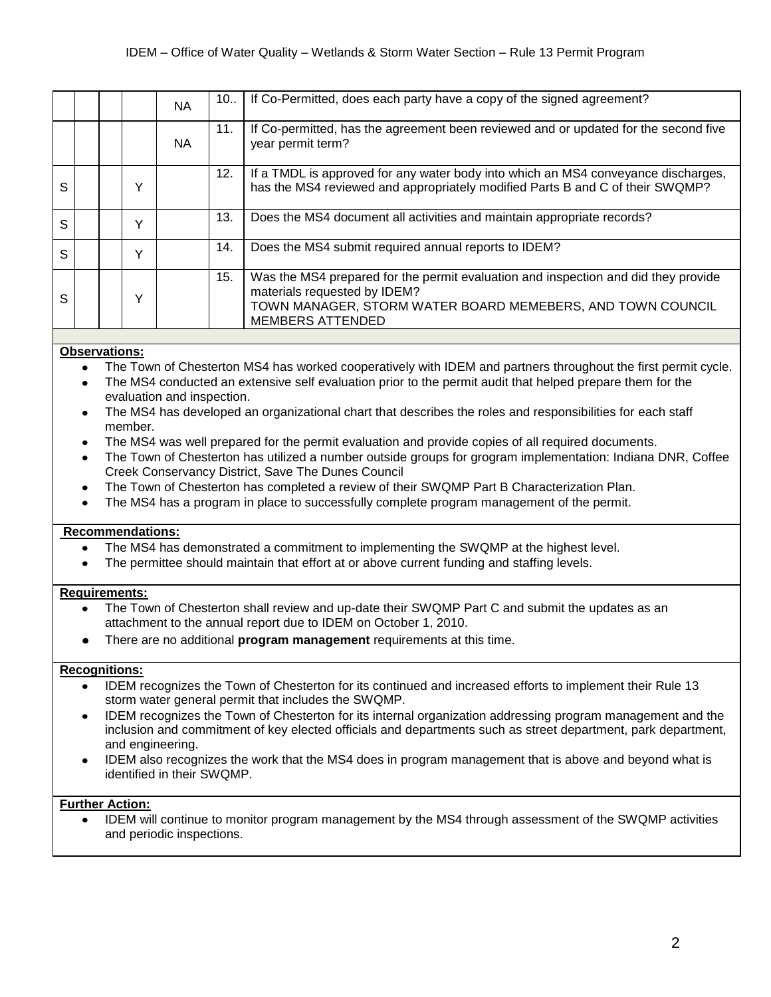|              |  |   | <b>NA</b> | 10  | If Co-Permitted, does each party have a copy of the signed agreement?                                                                                                                                       |
|--------------|--|---|-----------|-----|-------------------------------------------------------------------------------------------------------------------------------------------------------------------------------------------------------------|
|              |  |   | <b>NA</b> | 11. | If Co-permitted, has the agreement been reviewed and or updated for the second five<br>year permit term?                                                                                                    |
| <sub>S</sub> |  | v |           | 12. | If a TMDL is approved for any water body into which an MS4 conveyance discharges,<br>has the MS4 reviewed and appropriately modified Parts B and C of their SWQMP?                                          |
| <sub>S</sub> |  | v |           | 13. | Does the MS4 document all activities and maintain appropriate records?                                                                                                                                      |
| S            |  | v |           | 14. | Does the MS4 submit required annual reports to IDEM?                                                                                                                                                        |
| S            |  | v |           | 15. | Was the MS4 prepared for the permit evaluation and inspection and did they provide<br>materials requested by IDEM?<br>TOWN MANAGER, STORM WATER BOARD MEMEBERS, AND TOWN COUNCIL<br><b>MEMBERS ATTENDED</b> |

- The Town of Chesterton MS4 has worked cooperatively with IDEM and partners throughout the first permit cycle.  $\bullet$
- The MS4 conducted an extensive self evaluation prior to the permit audit that helped prepare them for the evaluation and inspection.
- The MS4 has developed an organizational chart that describes the roles and responsibilities for each staff member.
- The MS4 was well prepared for the permit evaluation and provide copies of all required documents.
- The Town of Chesterton has utilized a number outside groups for grogram implementation: Indiana DNR, Coffee Creek Conservancy District, Save The Dunes Council
- The Town of Chesterton has completed a review of their SWQMP Part B Characterization Plan.
- The MS4 has a program in place to successfully complete program management of the permit.

## **Recommendations:**

- The MS4 has demonstrated a commitment to implementing the SWQMP at the highest level.
- The permittee should maintain that effort at or above current funding and staffing levels.

### **Requirements:**

- The Town of Chesterton shall review and up-date their SWQMP Part C and submit the updates as an attachment to the annual report due to IDEM on October 1, 2010.
- There are no additional **program management** requirements at this time.

#### **Recognitions:**

- IDEM recognizes the Town of Chesterton for its continued and increased efforts to implement their Rule 13 storm water general permit that includes the SWQMP.
- IDEM recognizes the Town of Chesterton for its internal organization addressing program management and the inclusion and commitment of key elected officials and departments such as street department, park department, and engineering.
- IDEM also recognizes the work that the MS4 does in program management that is above and beyond what is identified in their SWQMP.

# **Further Action:**

IDEM will continue to monitor program management by the MS4 through assessment of the SWQMP activities and periodic inspections.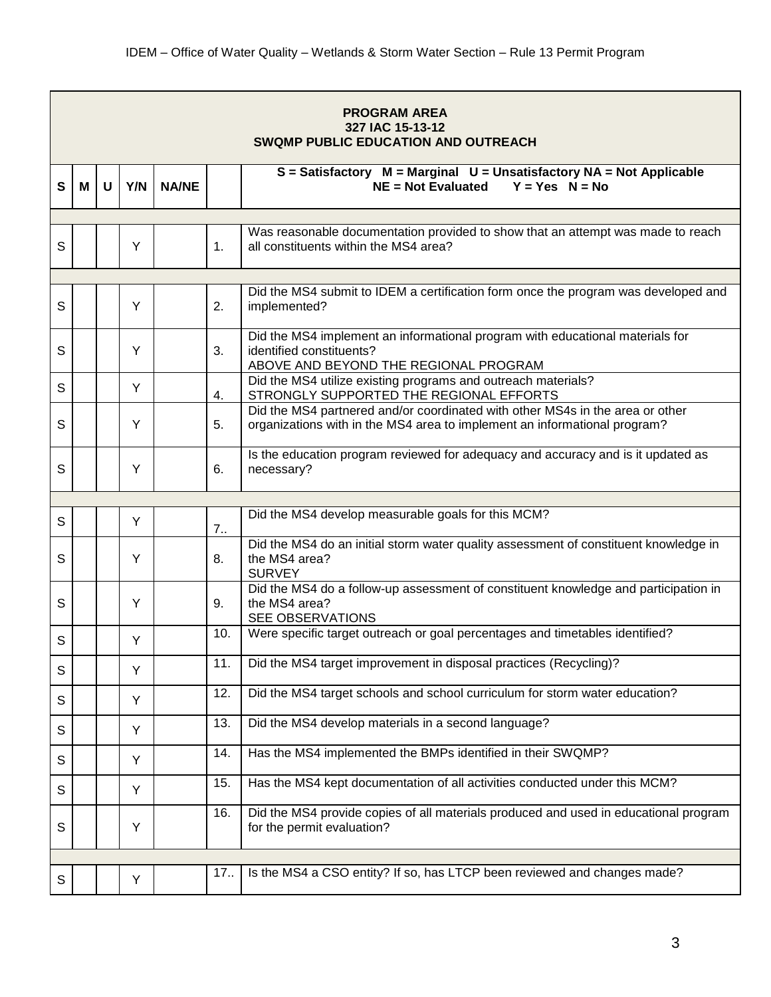|   |   |   |     |              |     | <b>PROGRAM AREA</b><br>327 IAC 15-13-12<br><b>SWQMP PUBLIC EDUCATION AND OUTREACH</b>                                                                      |
|---|---|---|-----|--------------|-----|------------------------------------------------------------------------------------------------------------------------------------------------------------|
| S | М | U | Y/N | <b>NA/NE</b> |     | $S = S$ atisfactory $M = Marginal$ $U = Unsatisfactory$ NA = Not Applicable<br>$NE = Not$ Evaluated<br>$Y = Yes$ $N = No$                                  |
|   |   |   |     |              |     |                                                                                                                                                            |
| S |   |   | Y   |              | 1.  | Was reasonable documentation provided to show that an attempt was made to reach<br>all constituents within the MS4 area?                                   |
|   |   |   |     |              |     |                                                                                                                                                            |
| S |   |   | Y   |              | 2.  | Did the MS4 submit to IDEM a certification form once the program was developed and<br>implemented?                                                         |
| S |   |   | Y   |              | 3.  | Did the MS4 implement an informational program with educational materials for<br>identified constituents?<br>ABOVE AND BEYOND THE REGIONAL PROGRAM         |
| S |   |   | Y   |              | 4.  | Did the MS4 utilize existing programs and outreach materials?<br>STRONGLY SUPPORTED THE REGIONAL EFFORTS                                                   |
| S |   |   | Y   |              | 5.  | Did the MS4 partnered and/or coordinated with other MS4s in the area or other<br>organizations with in the MS4 area to implement an informational program? |
| S |   |   | Y   |              | 6.  | Is the education program reviewed for adequacy and accuracy and is it updated as<br>necessary?                                                             |
|   |   |   |     |              |     |                                                                                                                                                            |
| S |   |   | Y   |              | 7.1 | Did the MS4 develop measurable goals for this MCM?                                                                                                         |
| S |   |   | Y   |              | 8.  | Did the MS4 do an initial storm water quality assessment of constituent knowledge in<br>the MS4 area?<br><b>SURVEY</b>                                     |
| S |   |   | Y   |              | 9.  | Did the MS4 do a follow-up assessment of constituent knowledge and participation in<br>the MS4 area?<br><b>SEE OBSERVATIONS</b>                            |
| S |   |   | Y   |              | 10. | Were specific target outreach or goal percentages and timetables identified?                                                                               |
| S |   |   | Y   |              | 11. | Did the MS4 target improvement in disposal practices (Recycling)?                                                                                          |
| S |   |   | Y   |              | 12. | Did the MS4 target schools and school curriculum for storm water education?                                                                                |
| S |   |   | Y   |              | 13. | Did the MS4 develop materials in a second language?                                                                                                        |
| S |   |   | Y   |              | 14. | Has the MS4 implemented the BMPs identified in their SWQMP?                                                                                                |
| S |   |   | Y   |              | 15. | Has the MS4 kept documentation of all activities conducted under this MCM?                                                                                 |
| S |   |   | Y   |              | 16. | Did the MS4 provide copies of all materials produced and used in educational program<br>for the permit evaluation?                                         |
|   |   |   |     |              |     |                                                                                                                                                            |
| S |   |   | Y   |              | 17. | Is the MS4 a CSO entity? If so, has LTCP been reviewed and changes made?                                                                                   |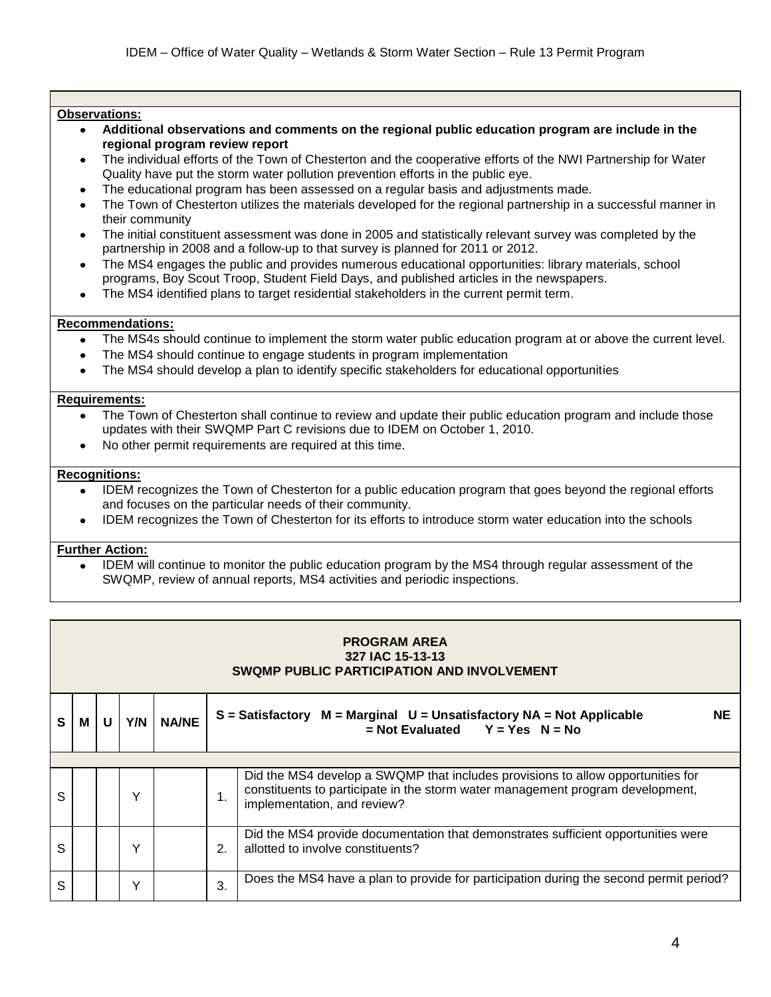- $\bullet$ **Additional observations and comments on the regional public education program are include in the regional program review report**
- The individual efforts of the Town of Chesterton and the cooperative efforts of the NWI Partnership for Water Quality have put the storm water pollution prevention efforts in the public eye.
- The educational program has been assessed on a regular basis and adjustments made.
- The Town of Chesterton utilizes the materials developed for the regional partnership in a successful manner in their community
- The initial constituent assessment was done in 2005 and statistically relevant survey was completed by the partnership in 2008 and a follow-up to that survey is planned for 2011 or 2012.
- The MS4 engages the public and provides numerous educational opportunities: library materials, school programs, Boy Scout Troop, Student Field Days, and published articles in the newspapers.
- The MS4 identified plans to target residential stakeholders in the current permit term.  $\bullet$

## **Recommendations:**

- The MS4s should continue to implement the storm water public education program at or above the current level.
- The MS4 should continue to engage students in program implementation
- The MS4 should develop a plan to identify specific stakeholders for educational opportunities

### **Requirements:**

- The Town of Chesterton shall continue to review and update their public education program and include those updates with their SWQMP Part C revisions due to IDEM on October 1, 2010.
- No other permit requirements are required at this time.

## **Recognitions:**

- IDEM recognizes the Town of Chesterton for a public education program that goes beyond the regional efforts and focuses on the particular needs of their community.
- IDEM recognizes the Town of Chesterton for its efforts to introduce storm water education into the schools  $\bullet$

# **Further Action:**

IDEM will continue to monitor the public education program by the MS4 through regular assessment of the SWQMP, review of annual reports, MS4 activities and periodic inspections.

|   | <b>PROGRAM AREA</b><br>327 IAC 15-13-13<br><b>SWQMP PUBLIC PARTICIPATION AND INVOLVEMENT</b> |   |     |              |               |                                                                                                                                                                                                  |  |  |  |  |  |
|---|----------------------------------------------------------------------------------------------|---|-----|--------------|---------------|--------------------------------------------------------------------------------------------------------------------------------------------------------------------------------------------------|--|--|--|--|--|
| S | М                                                                                            | U | Y/N | <b>NA/NE</b> |               | $S = S$ atisfactory $M = Marginal$ U = Unsatisfactory NA = Not Applicable<br><b>NE</b><br>$=$ Not Evaluated Y = Yes N = No                                                                       |  |  |  |  |  |
|   |                                                                                              |   |     |              |               |                                                                                                                                                                                                  |  |  |  |  |  |
| S |                                                                                              |   | Υ   |              | $\mathbf 1$ . | Did the MS4 develop a SWQMP that includes provisions to allow opportunities for<br>constituents to participate in the storm water management program development,<br>implementation, and review? |  |  |  |  |  |
| S |                                                                                              |   | v   |              | 2.            | Did the MS4 provide documentation that demonstrates sufficient opportunities were<br>allotted to involve constituents?                                                                           |  |  |  |  |  |
| S |                                                                                              |   | v   |              | 3.            | Does the MS4 have a plan to provide for participation during the second permit period?                                                                                                           |  |  |  |  |  |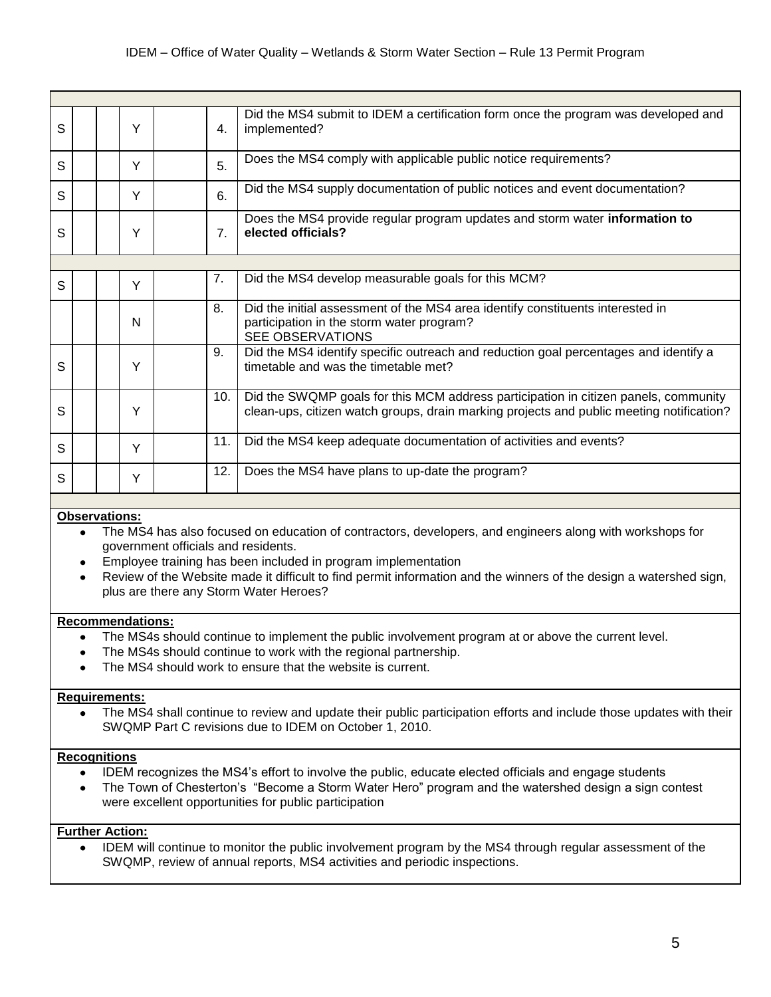| S |  | Υ | 4.               | Did the MS4 submit to IDEM a certification form once the program was developed and<br>implemented?                                                                              |
|---|--|---|------------------|---------------------------------------------------------------------------------------------------------------------------------------------------------------------------------|
| S |  | Y | 5.               | Does the MS4 comply with applicable public notice requirements?                                                                                                                 |
| S |  | Y | 6.               | Did the MS4 supply documentation of public notices and event documentation?                                                                                                     |
| S |  | Y | $\overline{7}$ . | Does the MS4 provide regular program updates and storm water <b>information to</b><br>elected officials?                                                                        |
|   |  |   |                  |                                                                                                                                                                                 |
| S |  | Y | 7.               | Did the MS4 develop measurable goals for this MCM?                                                                                                                              |
|   |  | N | 8.               | Did the initial assessment of the MS4 area identify constituents interested in<br>participation in the storm water program?<br><b>SEE OBSERVATIONS</b>                          |
| S |  | Υ | 9.               | Did the MS4 identify specific outreach and reduction goal percentages and identify a<br>timetable and was the timetable met?                                                    |
| S |  | Υ | 10.              | Did the SWQMP goals for this MCM address participation in citizen panels, community<br>clean-ups, citizen watch groups, drain marking projects and public meeting notification? |
| S |  | Y | 11.              | Did the MS4 keep adequate documentation of activities and events?                                                                                                               |
| S |  | Y | 12.              | Does the MS4 have plans to up-date the program?                                                                                                                                 |

- The MS4 has also focused on education of contractors, developers, and engineers along with workshops for government officials and residents.
- Employee training has been included in program implementation
- Review of the Website made it difficult to find permit information and the winners of the design a watershed sign, plus are there any Storm Water Heroes?

# **Recommendations:**

- The MS4s should continue to implement the public involvement program at or above the current level.
- The MS4s should continue to work with the regional partnership.
- The MS4 should work to ensure that the website is current.

#### **Requirements:**

The MS4 shall continue to review and update their public participation efforts and include those updates with their  $\bullet$ SWQMP Part C revisions due to IDEM on October 1, 2010.

# **Recognitions**

- IDEM recognizes the MS4's effort to involve the public, educate elected officials and engage students  $\bullet$
- The Town of Chesterton's "Become a Storm Water Hero" program and the watershed design a sign contest were excellent opportunities for public participation

# **Further Action:**

IDEM will continue to monitor the public involvement program by the MS4 through regular assessment of the  $\bullet$ SWQMP, review of annual reports, MS4 activities and periodic inspections.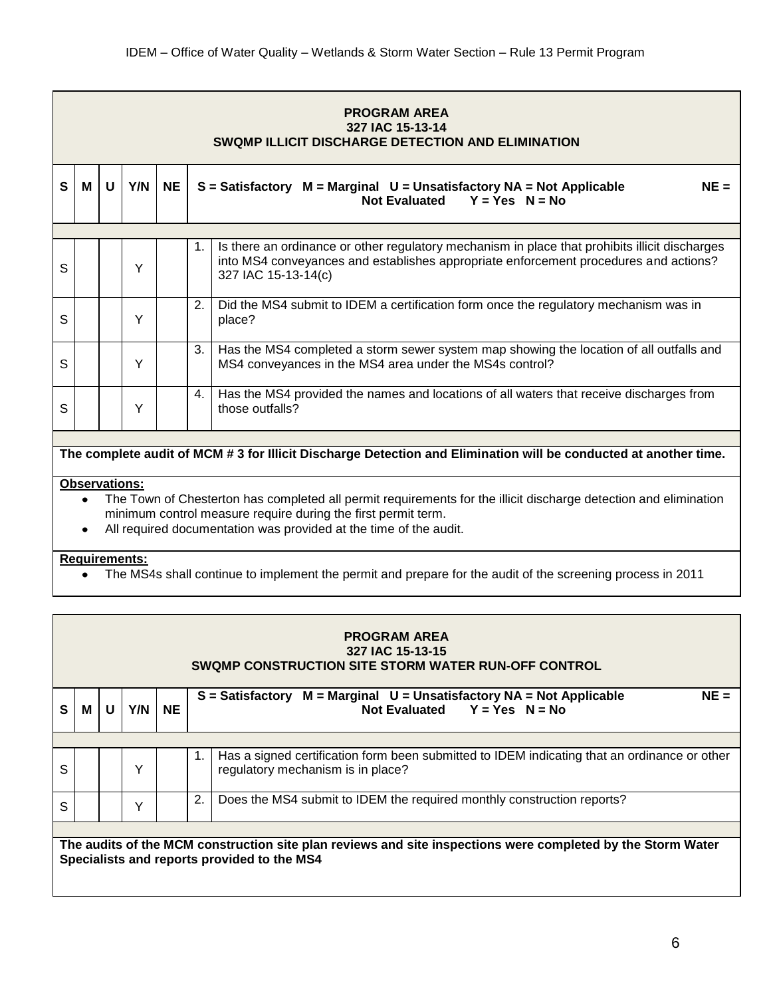|   | <b>PROGRAM AREA</b><br>327 IAC 15-13-14<br>SWQMP ILLICIT DISCHARGE DETECTION AND ELIMINATION |   |     |           |    |                                                                                                                                                                                                               |  |  |  |  |  |  |
|---|----------------------------------------------------------------------------------------------|---|-----|-----------|----|---------------------------------------------------------------------------------------------------------------------------------------------------------------------------------------------------------------|--|--|--|--|--|--|
| S | M                                                                                            | U | Y/N | <b>NE</b> |    | $NE =$<br>$S = S$ atisfactory M = Marginal U = Unsatisfactory NA = Not Applicable<br>Not Evaluated $Y = Yes$ N = No                                                                                           |  |  |  |  |  |  |
|   |                                                                                              |   |     |           |    |                                                                                                                                                                                                               |  |  |  |  |  |  |
| S |                                                                                              |   | Y   |           | 1. | Is there an ordinance or other regulatory mechanism in place that prohibits illicit discharges<br>into MS4 conveyances and establishes appropriate enforcement procedures and actions?<br>327 IAC 15-13-14(c) |  |  |  |  |  |  |
| S |                                                                                              |   | Y   |           | 2. | Did the MS4 submit to IDEM a certification form once the regulatory mechanism was in<br>place?                                                                                                                |  |  |  |  |  |  |
| S |                                                                                              |   | Υ   |           | 3. | Has the MS4 completed a storm sewer system map showing the location of all outfalls and<br>MS4 conveyances in the MS4 area under the MS4s control?                                                            |  |  |  |  |  |  |
| S |                                                                                              |   | Υ   |           | 4. | Has the MS4 provided the names and locations of all waters that receive discharges from<br>those outfalls?                                                                                                    |  |  |  |  |  |  |

# **The complete audit of MCM # 3 for Illicit Discharge Detection and Elimination will be conducted at another time.**

# **Observations:**

- The Town of Chesterton has completed all permit requirements for the illicit discharge detection and elimination  $\bullet$ minimum control measure require during the first permit term.
- All required documentation was provided at the time of the audit.  $\bullet$

### **Requirements:**

The MS4s shall continue to implement the permit and prepare for the audit of the screening process in 2011  $\bullet$ 

|              | <b>PROGRAM AREA</b><br>327 IAC 15-13-15<br>SWQMP CONSTRUCTION SITE STORM WATER RUN-OFF CONTROL              |   |     |           |    |                                                                                                                                   |  |  |  |  |  |
|--------------|-------------------------------------------------------------------------------------------------------------|---|-----|-----------|----|-----------------------------------------------------------------------------------------------------------------------------------|--|--|--|--|--|
| $\mathbf{s}$ | M                                                                                                           | U | Y/N | <b>NE</b> |    | $NE =$<br>$M = Marginal$ U = Unsatisfactory NA = Not Applicable<br>$S =$ Satisfactory<br>Not Evaluated $Y = Yes$ $N = No$         |  |  |  |  |  |
| S            |                                                                                                             |   | v   |           |    | Has a signed certification form been submitted to IDEM indicating that an ordinance or other<br>regulatory mechanism is in place? |  |  |  |  |  |
| $\mathsf{S}$ |                                                                                                             |   | v   |           | 2. | Does the MS4 submit to IDEM the required monthly construction reports?                                                            |  |  |  |  |  |
|              | The audits of the MCM construction site plan reviews and site inspections were completed by the Storm Water |   |     |           |    |                                                                                                                                   |  |  |  |  |  |

**Specialists and reports provided to the MS4**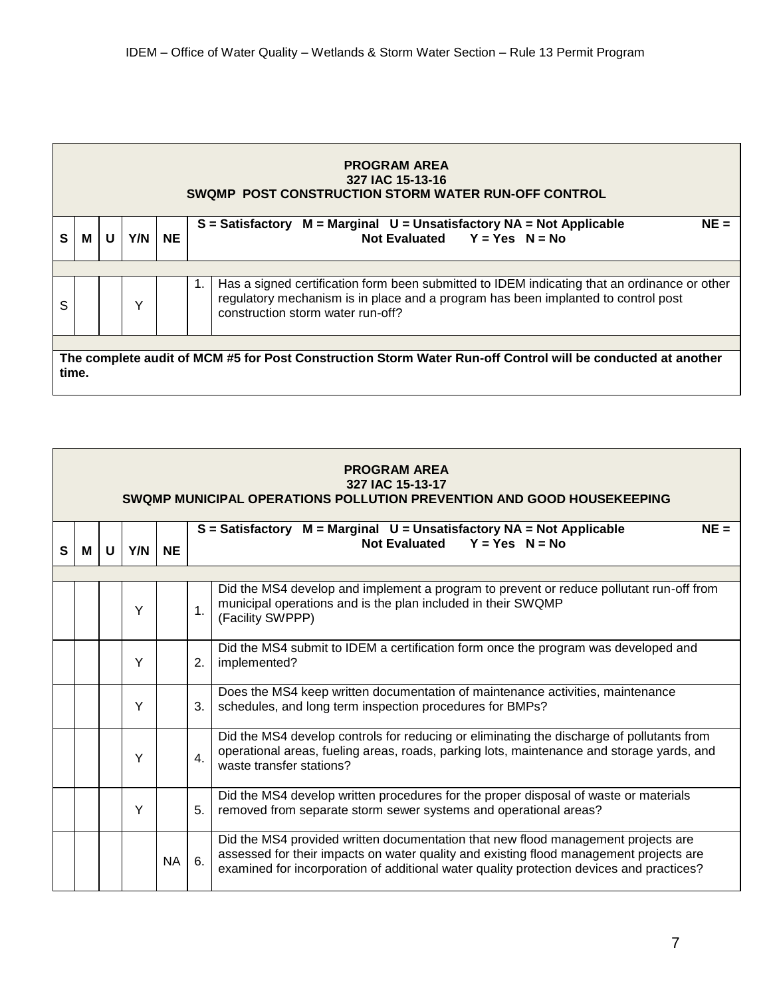|       | <b>PROGRAM AREA</b><br>327 IAC 15-13-16<br>SWOMP POST CONSTRUCTION STORM WATER RUN-OFF CONTROL |   |              |           |                                                                                                                                                                                                                              |  |  |  |  |  |
|-------|------------------------------------------------------------------------------------------------|---|--------------|-----------|------------------------------------------------------------------------------------------------------------------------------------------------------------------------------------------------------------------------------|--|--|--|--|--|
| S     | M                                                                                              | U | Y/N          | <b>NE</b> | $NE =$<br>$S = S$ atisfactory $M = Marginal$ U = Unsatisfactory NA = Not Applicable<br>Not Evaluated $Y = Yes$ $N = No$                                                                                                      |  |  |  |  |  |
|       |                                                                                                |   |              |           |                                                                                                                                                                                                                              |  |  |  |  |  |
| S     |                                                                                                |   | $\checkmark$ |           | Has a signed certification form been submitted to IDEM indicating that an ordinance or other<br>1.<br>regulatory mechanism is in place and a program has been implanted to control post<br>construction storm water run-off? |  |  |  |  |  |
|       |                                                                                                |   |              |           |                                                                                                                                                                                                                              |  |  |  |  |  |
| time. |                                                                                                |   |              |           | The complete audit of MCM #5 for Post Construction Storm Water Run-off Control will be conducted at another                                                                                                                  |  |  |  |  |  |

|   | <b>PROGRAM AREA</b><br>327 IAC 15-13-17<br>SWQMP MUNICIPAL OPERATIONS POLLUTION PREVENTION AND GOOD HOUSEKEEPING |   |     |           |                                                                                                                                                                                                                                                                               |  |  |  |  |  |  |
|---|------------------------------------------------------------------------------------------------------------------|---|-----|-----------|-------------------------------------------------------------------------------------------------------------------------------------------------------------------------------------------------------------------------------------------------------------------------------|--|--|--|--|--|--|
| S | м                                                                                                                | U | Y/N | <b>NE</b> | $NE =$<br>$S =$ Satisfactory $M =$ Marginal $U =$ Unsatisfactory NA = Not Applicable<br>Not Evaluated $Y = Yes$ N = No                                                                                                                                                        |  |  |  |  |  |  |
|   |                                                                                                                  |   |     |           |                                                                                                                                                                                                                                                                               |  |  |  |  |  |  |
|   |                                                                                                                  |   | Y   |           | Did the MS4 develop and implement a program to prevent or reduce pollutant run-off from<br>municipal operations and is the plan included in their SWQMP<br>1 <sub>1</sub><br>(Facility SWPPP)                                                                                 |  |  |  |  |  |  |
|   |                                                                                                                  |   | Υ   |           | Did the MS4 submit to IDEM a certification form once the program was developed and<br>2.<br>implemented?                                                                                                                                                                      |  |  |  |  |  |  |
|   |                                                                                                                  |   | Y   |           | Does the MS4 keep written documentation of maintenance activities, maintenance<br>schedules, and long term inspection procedures for BMPs?<br>3.                                                                                                                              |  |  |  |  |  |  |
|   |                                                                                                                  |   | Y   |           | Did the MS4 develop controls for reducing or eliminating the discharge of pollutants from<br>operational areas, fueling areas, roads, parking lots, maintenance and storage yards, and<br>4.<br>waste transfer stations?                                                      |  |  |  |  |  |  |
|   |                                                                                                                  |   | Υ   |           | Did the MS4 develop written procedures for the proper disposal of waste or materials<br>removed from separate storm sewer systems and operational areas?<br>5 <sub>1</sub>                                                                                                    |  |  |  |  |  |  |
|   |                                                                                                                  |   |     | <b>NA</b> | Did the MS4 provided written documentation that new flood management projects are<br>assessed for their impacts on water quality and existing flood management projects are<br>6.<br>examined for incorporation of additional water quality protection devices and practices? |  |  |  |  |  |  |